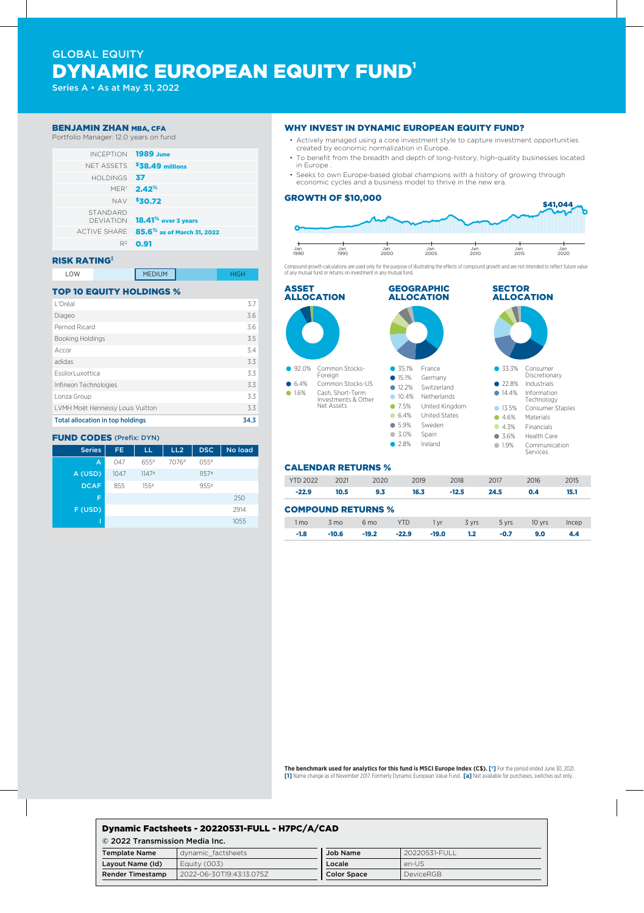# GLOBAL EQUITY DYNAMIC EUROPEAN EQUITY FUND<sup>1</sup>

Series A • As at May 31, 2022

#### BENJAMIN ZHAN MBA, CFA

Portfolio Manager: 12.0 years on fund



#### RISK RATING‡

| ∟OW<br>____ | <b>MEDIUM</b> |  |
|-------------|---------------|--|
|-------------|---------------|--|

## TOP 10 EQUITY HOLDINGS %

| <b>Total allocation in top holdings</b> | 34.3 |
|-----------------------------------------|------|
| LVMH Moët Hennessy Louis Vuitton        | 3.3  |
| Lonza Group                             | 3.3  |
| Infineon Technologies                   | 3.3  |
| EssilorLuxottica                        | 3.3  |
| adidas                                  | 3.3  |
| Accor                                   | 3.4  |
| Booking Holdings                        | 3.5  |
| Pernod Ricard                           | 3.6  |
| Diageo                                  | 3.6  |
| L'Oréal                                 | 3.7  |

## FUND CODES (Prefix: DYN)

| <b>Series</b> | FE.  | LL               | LL2               | <b>DSC</b>        | No load |
|---------------|------|------------------|-------------------|-------------------|---------|
| A             | 047  | $655^{\circ}$    | 7076 <sup>a</sup> | 0.55a             |         |
| A (USD)       | 1047 | 1147a            |                   | 1157 <sup>a</sup> |         |
| <b>DCAF</b>   | 855  | 155 <sup>a</sup> |                   | 955 <sup>a</sup>  |         |
| F             |      |                  |                   |                   | 250     |
| F (USD)       |      |                  |                   |                   | 2914    |
|               |      |                  |                   |                   | 1055    |

#### WHY INVEST IN DYNAMIC EUROPEAN EQUITY FUND?

- Actively managed using a core investment style to capture investment opportunities created by economic normalization in Europe.
- To benefit from the breadth and depth of long-history, high-quality businesses located in Europe .
- Seeks to own Europe-based global champions with a history of growing through economic cycles and a business model to thrive in the new era.

#### GROWTH OF \$10,000



Compound growth calculations are used only for the purpose of illustrating the effects of compound growth and are not intended to reflect future value of any mutual fund or returns on investment in any mutual fund.



#### CALENDAR RETURNS %

| <b>YTD 2022</b>           | 2021 | 2020            | 2019       | 2018          | 2017  | 2016   | 2015  |
|---------------------------|------|-----------------|------------|---------------|-------|--------|-------|
| $-22.9$                   | 10.5 | 9.3             | 16.3       | $-12.5$       | 24.5  | 0.4    | 15.1  |
|                           |      |                 |            |               |       |        |       |
| <b>COMPOUND RETURNS %</b> |      |                 |            |               |       |        |       |
| 1 mo                      | 3 mo | 6 <sub>mo</sub> | <b>YTD</b> | 3 yrs<br>1 vr | 5 yrs | 10 yrs | Incep |